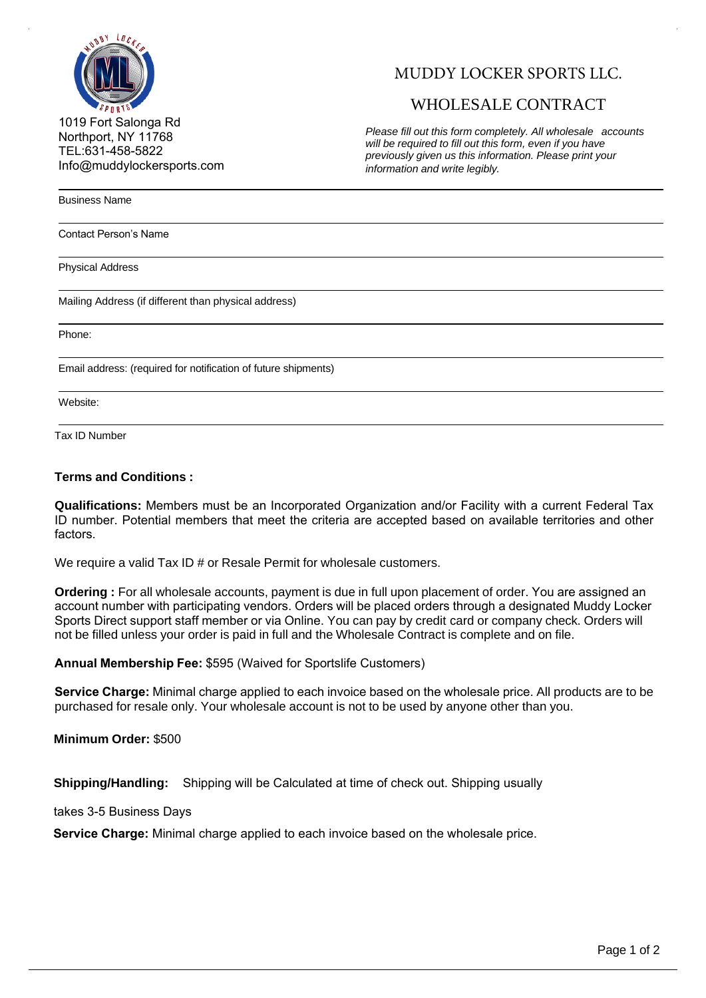

MUDDY LOCKER SPORTS LLC.

## WHOLESALE CONTRACT

1019 Fort Salonga Rd Northport, NY 11768 TEL:631-458-5822 Info@muddylockersports.com

*Please fill out this form completely. All wholesale accounts will be required to fill out this form, even if you have previously given us this information. Please print your information and write legibly.*

Business Name

Contact Person's Name

Physical Address

Mailing Address (if different than physical address)

Phone:

Email address: (required for notification of future shipments)

Website:

Tax ID Number

## **Terms and Conditions :**

**Qualifications:** Members must be an Incorporated Organization and/or Facility with a current Federal Tax ID number. Potential members that meet the criteria are accepted based on available territories and other factors.

We require a valid Tax ID # or Resale Permit for wholesale customers.

**Ordering :** For all wholesale accounts, payment is due in full upon placement of order. You are assigned an account number with participating vendors. Orders will be placed orders through a designated Muddy Locker Sports Direct support staff member or via Online. You can pay by credit card or company check. Orders will not be filled unless your order is paid in full and the Wholesale Contract is complete and on file.

**Annual Membership Fee:** \$595 (Waived for Sportslife Customers)

**Service Charge:** Minimal charge applied to each invoice based on the wholesale price. All products are to be purchased for resale only. Your wholesale account is not to be used by anyone other than you.

**Minimum Order:** \$500

**Shipping/Handling:** Shipping will be Calculated at time of check out. Shipping usually

takes 3-5 Business Days

**Service Charge:** Minimal charge applied to each invoice based on the wholesale price.